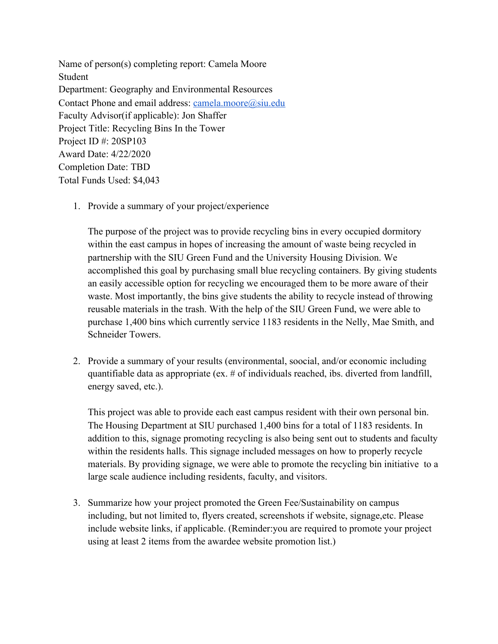Name of person(s) completing report: Camela Moore Student Department: Geography and Environmental Resources Contact Phone and email address: [camela.moore@siu.edu](mailto:camela.moore@siu.edu) Faculty Advisor(if applicable): Jon Shaffer Project Title: Recycling Bins In the Tower Project ID #: 20SP103 Award Date: 4/22/2020 Completion Date: TBD Total Funds Used: \$4,043

1. Provide a summary of your project/experience

The purpose of the project was to provide recycling bins in every occupied dormitory within the east campus in hopes of increasing the amount of waste being recycled in partnership with the SIU Green Fund and the University Housing Division. We accomplished this goal by purchasing small blue recycling containers. By giving students an easily accessible option for recycling we encouraged them to be more aware of their waste. Most importantly, the bins give students the ability to recycle instead of throwing reusable materials in the trash. With the help of the SIU Green Fund, we were able to purchase 1,400 bins which currently service 1183 residents in the Nelly, Mae Smith, and Schneider Towers.

2. Provide a summary of your results (environmental, soocial, and/or economic including quantifiable data as appropriate (ex.  $\#$  of individuals reached, ibs. diverted from landfill, energy saved, etc.).

This project was able to provide each east campus resident with their own personal bin. The Housing Department at SIU purchased 1,400 bins for a total of 1183 residents. In addition to this, signage promoting recycling is also being sent out to students and faculty within the residents halls. This signage included messages on how to properly recycle materials. By providing signage, we were able to promote the recycling bin initiative to a large scale audience including residents, faculty, and visitors.

3. Summarize how your project promoted the Green Fee/Sustainability on campus including, but not limited to, flyers created, screenshots if website, signage,etc. Please include website links, if applicable. (Reminder:you are required to promote your project using at least 2 items from the awardee website promotion list.)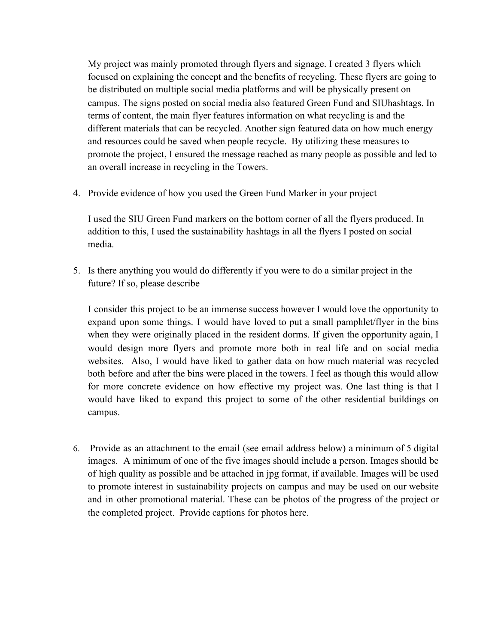My project was mainly promoted through flyers and signage. I created 3 flyers which focused on explaining the concept and the benefits of recycling. These flyers are going to be distributed on multiple social media platforms and will be physically present on campus. The signs posted on social media also featured Green Fund and SIUhashtags. In terms of content, the main flyer features information on what recycling is and the different materials that can be recycled. Another sign featured data on how much energy and resources could be saved when people recycle. By utilizing these measures to promote the project, I ensured the message reached as many people as possible and led to an overall increase in recycling in the Towers.

4. Provide evidence of how you used the Green Fund Marker in your project

I used the SIU Green Fund markers on the bottom corner of all the flyers produced. In addition to this, I used the sustainability hashtags in all the flyers I posted on social media.

5. Is there anything you would do differently if you were to do a similar project in the future? If so, please describe

I consider this project to be an immense success however I would love the opportunity to expand upon some things. I would have loved to put a small pamphlet/flyer in the bins when they were originally placed in the resident dorms. If given the opportunity again, I would design more flyers and promote more both in real life and on social media websites. Also, I would have liked to gather data on how much material was recycled both before and after the bins were placed in the towers. I feel as though this would allow for more concrete evidence on how effective my project was. One last thing is that I would have liked to expand this project to some of the other residential buildings on campus.

6. Provide as an attachment to the email (see email address below) a minimum of 5 digital images. A minimum of one of the five images should include a person. Images should be of high quality as possible and be attached in jpg format, if available. Images will be used to promote interest in sustainability projects on campus and may be used on our website and in other promotional material. These can be photos of the progress of the project or the completed project. Provide captions for photos here.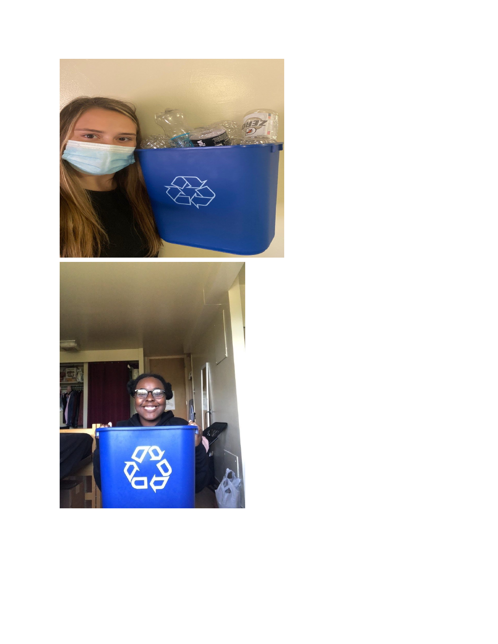

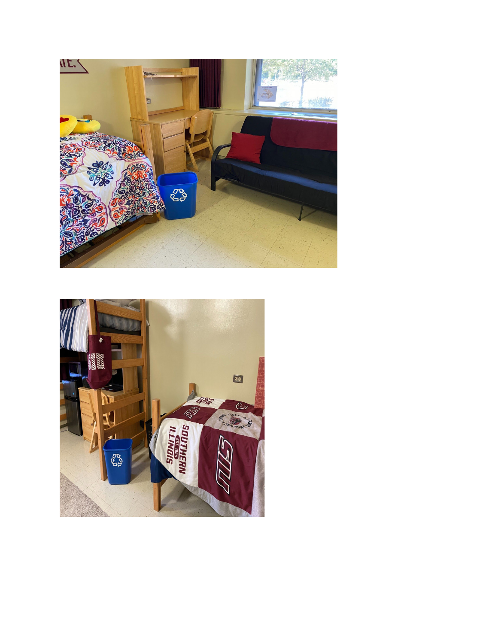

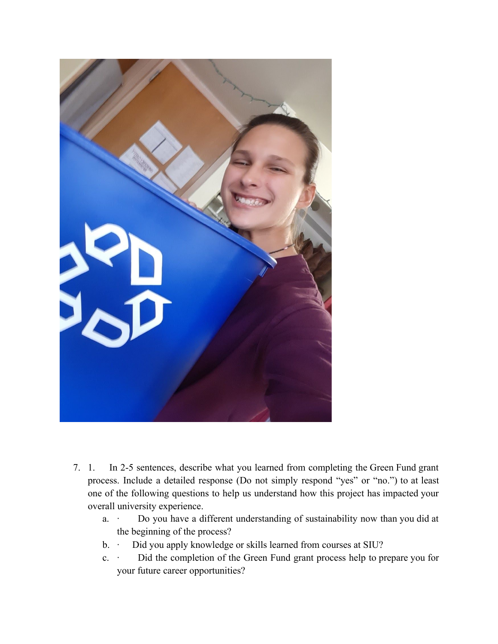

- 7. 1. In 2-5 sentences, describe what you learned from completing the Green Fund grant process. Include a detailed response (Do not simply respond "yes" or "no.") to at least one of the following questions to help us understand how this project has impacted your overall university experience.
	- a. · Do you have a different understanding of sustainability now than you did at the beginning of the process?
	- b. · Did you apply knowledge or skills learned from courses at SIU?
	- c. · Did the completion of the Green Fund grant process help to prepare you for your future career opportunities?